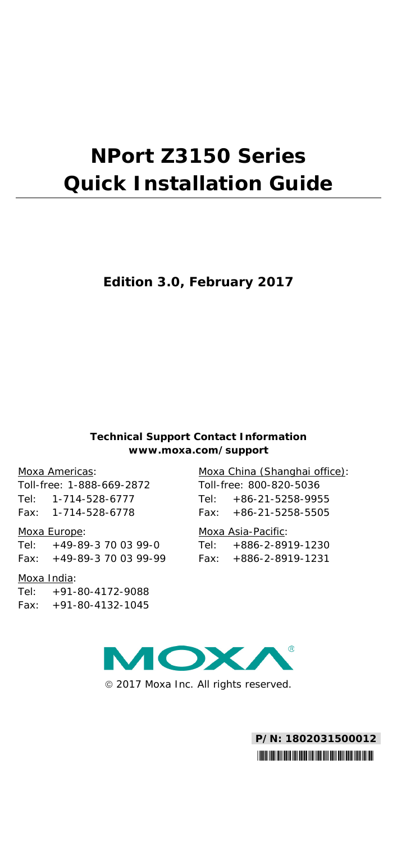# **NPort Z3150 Series Quick Installation Guide**

## **Edition 3.0, February 2017**

#### **Technical Support Contact Information www.moxa.com/support**

#### Moxa Americas:

Toll-free: 1-888-669-2872 Tel: 1-714-528-6777 Fax: 1-714-528-6778

#### Moxa Europe:

Tel: +49-89-3 70 03 99-0 Fax: +49-89-3 70 03 99-99

#### Moxa India:

Tel: +91-80-4172-9088 Fax: +91-80-4132-1045 Moxa China (Shanghai office): Toll-free: 800-820-5036 Tel: +86-21-5258-9955 Fax: +86-21-5258-5505

#### Moxa Asia-Pacific:

Tel: +886-2-8919-1230 Fax: +886-2-8919-1231



2017 Moxa Inc. All rights reserved.

**P/N: 1802031500012** \*1802031500012\*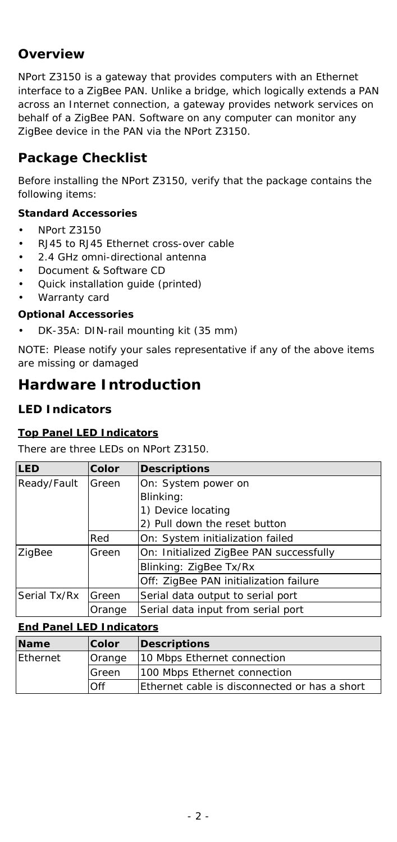# **Overview**

NPort Z3150 is a gateway that provides computers with an Ethernet interface to a ZigBee PAN. Unlike a bridge, which logically extends a PAN across an Internet connection, a gateway provides network services on behalf of a ZigBee PAN. Software on any computer can monitor any ZigBee device in the PAN via the NPort Z3150.

# **Package Checklist**

Before installing the NPort Z3150, verify that the package contains the following items:

### *Standard Accessories*

- NPort Z3150
- RJ45 to RJ45 Ethernet cross-over cable
- 2.4 GHz omni-directional antenna
- Document & Software CD
- Quick installation guide (printed)
- Warranty card

#### *Optional Accessories*

• DK-35A: DIN-rail mounting kit (35 mm)

*NOTE: Please notify your sales representative if any of the above items are missing or damaged*

# **Hardware Introduction**

## **LED Indicators**

#### **Top Panel LED Indicators**

There are three LEDs on NPort Z3150.

| <b>LED</b>            | Color  | <b>Descriptions</b>                     |
|-----------------------|--------|-----------------------------------------|
| Ready/Fault           | Green  | On: System power on                     |
|                       |        | Blinking:                               |
|                       |        | 1) Device locating                      |
|                       |        | 2) Pull down the reset button           |
|                       | Red    | On: System initialization failed        |
| ZigBee                | Green  | On: Initialized ZigBee PAN successfully |
|                       |        | Blinking: ZigBee Tx/Rx                  |
|                       |        | Off: ZigBee PAN initialization failure  |
| Serial Tx/Rx<br>Green |        | Serial data output to serial port       |
|                       | Orange | Serial data input from serial port      |

#### **End Panel LED Indicators**

| <b>Name</b> | <b>Color</b> | Descriptions                                  |
|-------------|--------------|-----------------------------------------------|
| Ethernet    | Orange       | 10 Mbps Ethernet connection                   |
|             | Green        | 100 Mbps Ethernet connection                  |
|             | Off          | Ethernet cable is disconnected or has a short |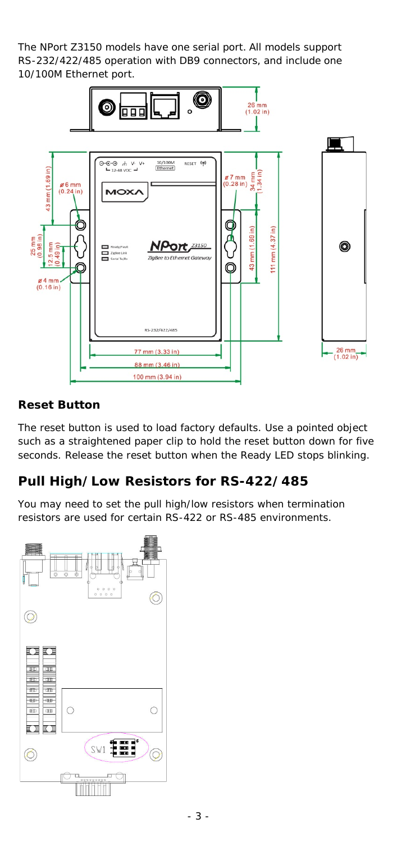The NPort Z3150 models have one serial port. All models support RS-232/422/485 operation with DB9 connectors, and include one 10/100M Ethernet port.



## **Reset Button**

The reset button is used to load factory defaults. Use a pointed object such as a straightened paper clip to hold the reset button down for five seconds. Release the reset button when the Ready LED stops blinking.

# **Pull High/Low Resistors for RS-422/485**

You may need to set the pull high/low resistors when termination resistors are used for certain RS-422 or RS-485 environments.

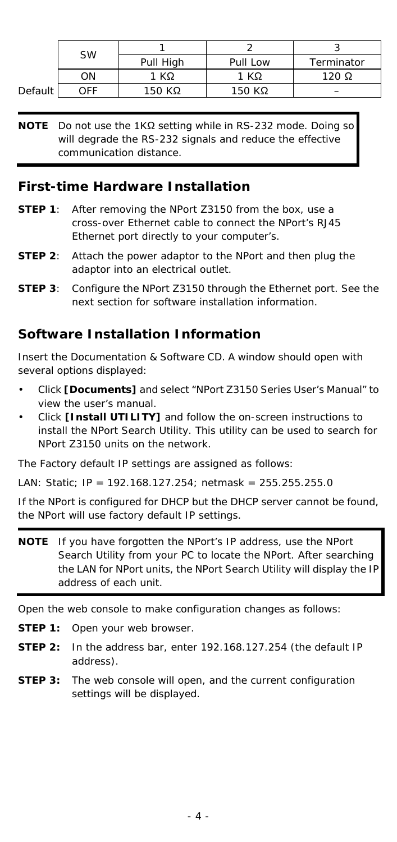| <b>SW</b> |     | Pull High | Pull Low | Terminator   |
|-----------|-----|-----------|----------|--------------|
|           | ΟN  | 1 KΩ      | 1 KΩ     | 120 $\Omega$ |
| Default   | OFF | 150 KΩ    | 150 KΩ   |              |

**NOTE** Do not use the 1KΩ setting while in RS-232 mode. Doing so will degrade the RS-232 signals and reduce the effective communication distance.

## **First-time Hardware Installation**

- **STEP 1:** After removing the NPort Z3150 from the box, use a cross-over Ethernet cable to connect the NPort's RJ45 Ethernet port directly to your computer's.
- **STEP 2:** Attach the power adaptor to the NPort and then plug the adaptor into an electrical outlet.
- **STEP 3**: Configure the NPort Z3150 through the Ethernet port. See the next section for software installation information.

## **Software Installation Information**

Insert the Documentation & Software CD. A window should open with several options displayed:

- Click **[Documents]** and select "NPort Z3150 Series User's Manual" to view the user's manual.
- Click **[Install UTILITY]** and follow the on-screen instructions to install the NPort Search Utility. This utility can be used to search for NPort Z3150 units on the network.

The Factory default IP settings are assigned as follows:

LAN: Static; IP = 192.168.127.254; netmask = 255.255.255.0

If the NPort is configured for DHCP but the DHCP server cannot be found, the NPort will use factory default IP settings.

**NOTE** If you have forgotten the NPort's IP address, use the NPort Search Utility from your PC to locate the NPort. After searching the LAN for NPort units, the NPort Search Utility will display the IP address of each unit.

Open the web console to make configuration changes as follows:

- **STEP 1:** Open your web browser.
- **STEP 2:** In the address bar, enter 192.168.127.254 (the default IP address).
- **STEP 3:** The web console will open, and the current configuration settings will be displayed.